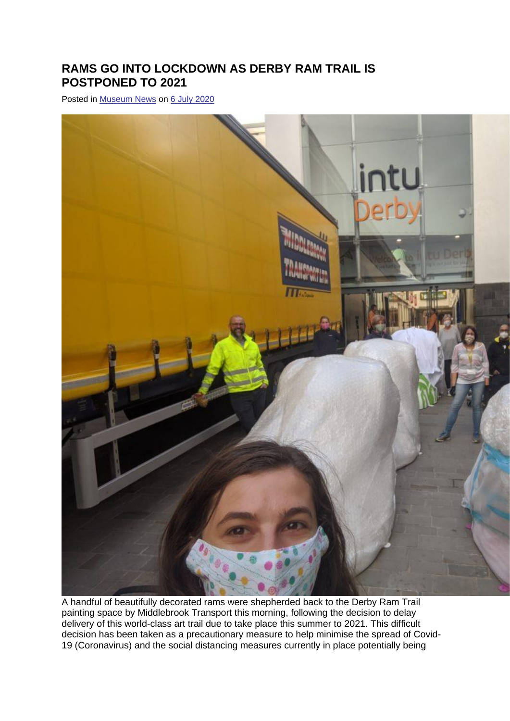## **RAMS GO INTO LOCKDOWN AS DERBY RAM TRAIL IS POSTPONED TO 2021**

Posted in [Museum News](https://www.derbymuseums.org/news/category/updates) on [6 July 2020](https://www.derbymuseums.org/news/rams-go-into-lockdown-as-derby-ram-trail-is-postponed-to-2021)



A handful of beautifully decorated rams were shepherded back to the Derby Ram Trail painting space by Middlebrook Transport this morning, following the decision to delay delivery of this world-class art trail due to take place this summer to 2021. This difficult decision has been taken as a precautionary measure to help minimise the spread of Covid-19 (Coronavirus) and the social distancing measures currently in place potentially being